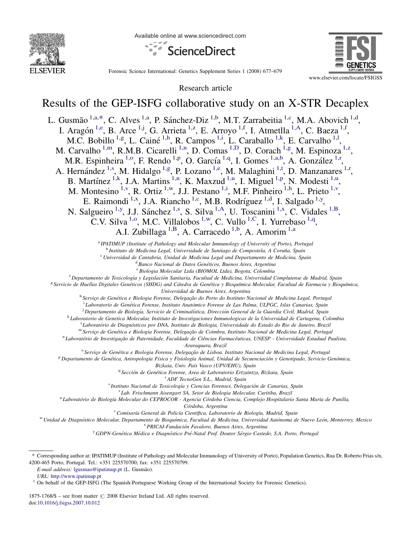

Available online at www.sciencedirect.com





Forensic Science International: Genetics Supplement Series 1 (2008) 677–679

Research article

# Results of the GEP-ISFG collaborative study on an X-STR Decaplex

L. Gusmão <sup>1,a,\*</sup>, C. Alves <sup>1,a</sup>, P. Sánchez-Diz <sup>1,b</sup>, M.T. Zarrabeitia <sup>1,c</sup>, M.A. Abovich <sup>1,d</sup>, I. Aragón<sup>1,e</sup>, B. Arce<sup>1,j</sup>, G. Arrieta<sup>1[,z](#page-1-0)</sup>, E. Arroyo<sup>1,f</sup>, I. Atmetlla<sup>1[,A](#page-1-0)</sup>, C. Baeza<sup>1,f</sup>, M.C. Bobillo<sup>1,g</sup>, L. Cainé<sup>1,h</sup>, R. Campos<sup>1,i</sup>, L. Caraballo<sup>1,k</sup>, E. Carvalho<sup>1,1</sup>, M. Carvalho<sup>1,m</sup>, R.M.B. Cicarelli<sup>1,n</sup>, D. Comas<sup>1,D</sup>, D. Corach<sup>1,g</sup>, M. Espinoza<sup>1[,z](#page-1-0)</sup>, M.R. Espinheira<sup>1,o</sup>, F. Rendo<sup>1,p</sup>, O. García<sup>1,q</sup>, I. Gomes<sup>1,a,b</sup>, A. González<sup>1,r</sup>, A. Hernández<sup>1,s</sup>, M. Hidalgo<sup>1,g</sup>, P. Lozano<sup>1,e</sup>, M. Malaghini<sup>1,t</sup>, D. Manzanares<sup>1,r</sup>, B. Martínez <sup>1,k</sup>, J.A. Martins <sup>1,n</sup>, K. Maxzud <sup>1,u</sup>, I. Miguel <sup>1,p</sup>, N. Modesti <sup>1,u</sup>, M. Montesino <sup>1, v</sup>, R. Ortiz <sup>1, w</sup>, J.J. Pestano <sup>1, i</sup>, M.F. Pinheiro <sup>1, h</sup>, L. Prieto <sup>1, v</sup>, E. Raimondi<sup>1,x</sup>, J.A. Riancho<sup>1,c</sup>, M.B. Rodríguez<sup>1,d</sup>, I. Salgado<sup>1,y</sup>, N. Salgueiro<sup>1,y</sup>, J.J. Sánchez<sup>1,s</sup>, S. Silva<sup>1,A</sup>, U. Toscanini<sup>1,x</sup>, C. Vidales<sup>1[,B](#page-1-0)</sup>, [C](#page-1-0).V. Silva <sup>1,0</sup>, M.C. Villalobos <sup>1,w</sup>, C. Vullo <sup>1,C</sup>, I. Yurrebaso <sup>1,q</sup>, A.I. Zubillaga<sup>1[,B](#page-1-0)</sup>, A. Carracedo<sup>1,b</sup>, A. Amorim<sup>1,a</sup>

<sup>a</sup> IPATIMUP (Institute of Pathology and Molecular Immunology of University of Porto), Portugal

<sup>b</sup> Instituto de Medicina Legal, Universidade de Santiago de Compostela, A Coruña, Spain

 $c$  Universidad de Cantabria, Unidad de Medicina Legal and Departamento de Medicina, Spain

 $d$  Banco Nacional de Datos Genéticos, Buenos Aires, Argentina

<sup>e</sup> Biologia Molecular Ltda (BIOMOL Ltda), Bogota, Colombia

<sup>f</sup> Departamento de Toxicología y Legislación Sanitaria, Facultad de Medicina, Universidad Complutense de Madrid, Spain

<sup>g</sup> Servicio de Huellas Digitales Genéticos (SHDG) and Cátedra de Genética y Bioquímica Molecular, Facultad de Farmacia y Bioquímica, Universidad de Buenos Aires, Argentina

<sup>h</sup> Serviço de Genética e Biologia Forense, Delegação do Porto do Instituto Nacional de Medicina Legal, Portugal

<sup>i</sup> Laboratorio de Genética Forense, Instituto Anatómico Forense de Las Palma, ULPGC, Islas Canarias, Spain

<sup>i</sup> Departamento de Biología, Servicio de Criminalística, Dirección General de la Guardia Civil, Madrid, Spain

<sup>k</sup> Laboratorio de Genetica Molecular, Instituto de Investigaciones Inmunologicas de la Universidad de Cartagena, Colombia

<sup>1</sup> Laboratório de Diagnósticos por DNA, Instituto de Biologia, Universidade do Estado do Rio de Janeiro, Brazil

<sup>m</sup> Serviço de Genética e Biologia Forense, Delegação de Coimbra, Instituto Nacional de Medicina Legal, Portugal

<sup>n</sup> Laboratório de Investigação de Paternidade, Faculdade de Ciências Farmacêuticas, UNESP - Universidade Estadual Paulista,

Araraquara, Brazil

<sup>o</sup> Serviço de Genética e Biologia Forense, Delegação de Lisboa. Instituto Nacional de Medicina Legal, Portugal<br>P Departamento de Genética, Antropología Física y Fisiología Animal, Unidad de Secuenciación y Genotipado, Ser

Bizkaia, Univ. País Vasco (UPV/EHU), Spain

<sup>q</sup> Sección de Genética Forense, Area de Laboratorio Ertzaintza, Bizkaia, Spain

<sup>r</sup> ADF TecnoGen S.L., Madrid, Spain

<sup>s</sup> Instituto Nacional de Toxicología y Ciencias Forenses, Delegación de Canarias, Spain

<sup>t</sup> Lab. Frischmann Aisengart SA, Setor de Biologia Molecular, Curitiba, Brazil

<sup>u</sup> Laboratório de Biología Molecular do CEPROCOR - Agencia Córdoba Ciencia, Complejo Hospitalario Santa María de Punilla,

Córdoba, Argentina

<sup>v</sup> Comisaría General de Policía Científica, Laboratorio de Biología, Madrid, Spain

W Unidad de Diagnóstico Molecular, Departamento de Bioquímica, Facultad de Medicina, Universidad Autónoma de Nuevo León, Monterrey, Mexico

<sup>x</sup> PRICAI-Fundación Favaloro, Buenos Aires, Argentina

<sup>y</sup> GDPN-Genética Médica e Diagnóstico Pré-Natal Prof. Doutor Sérgio Castedo, S.A. Porto, Portugal

E-mail address: [lgusmao@ipatimup.pt](mailto:lgusmao@ipatimup.pt) (L. Gusmão).

URL: <http://www.ipatimup.pt>

1875-1768/\$ – see front matter  $\odot$  2008 Elsevier Ireland Ltd. All rights reserved. doi:[10.1016/j.fsigss.2007.10.012](http://dx.doi.org/10.1016/j.fsigss.2007.10.012)

<sup>\*</sup> Corresponding author at: IPATIMUP (Institute of Pathology and Molecular Immunology of University of Porto), Population Genetics, Rua Dr. Roberto Frias s/n, 4200-465 Porto, Portugal. Tel.: +351 225570700; fax: +351 225570799.

<sup>&</sup>lt;sup>1</sup> On behalf of the GEP-ISFG (The Spanish-Portuguese Working Group of the International Society for Forensic Genetics).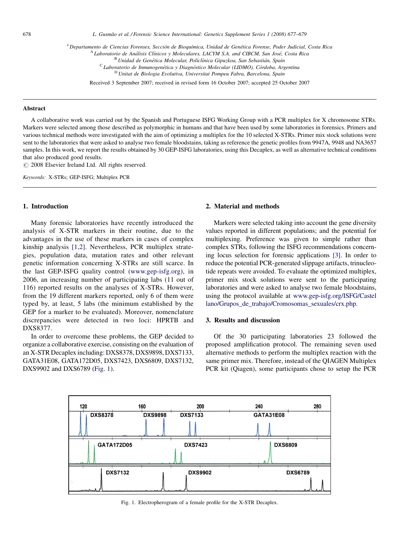<span id="page-1-0"></span><sup>z</sup> Departamento de Ciencias Forenses, Sección de Bioquímica, Unidad de Genética Forense, Poder Judicial, Costa Rica

<sup>A</sup> Laboratorio de Análisis Clínicos y Moleculares, LACYM S.A. and CIBCM, San José, Costa Rica

 $B$  Unidad de Genética Molecular, Policlínica Gipuzkoa, San Sebastián, Spain

 $\rm ^c$ Laboratorio de Inmunogenética y Diagnóstico Molecular (LIDMO), Córdoba, Argentina

<sup>D</sup> Unitat de Biologia Evolutiva, Universitat Pompeu Fabra, Barcelona, Spain

Received 3 September 2007; received in revised form 16 October 2007; accepted 25 October 2007

#### **Abstract**

A collaborative work was carried out by the Spanish and Portuguese ISFG Working Group with a PCR multiplex for X chromosome STRs. Markers were selected among those described as polymorphic in humans and that have been used by some laboratories in forensics. Primers and various technical methods were investigated with the aim of optimizing a multiplex for the 10 selected X-STRs. Primer mix stock solutions were sent to the laboratories that were asked to analyse two female bloodstains, taking as reference the genetic profiles from 9947A, 9948 and NA3657 samples. In this work, we report the results obtained by 30 GEP-ISFG laboratories, using this Decaplex, as well as alternative technical conditions that also produced good results.

 $\odot$  2008 Elsevier Ireland Ltd. All rights reserved.

Keywords: X-STRs; GEP-ISFG; Multiplex PCR

# 1. Introduction

Many forensic laboratories have recently introduced the analysis of X-STR markers in their routine, due to the advantages in the use of these markers in cases of complex kinship analysis [\[1,2\]](#page-2-0). Nevertheless, PCR multiplex strategies, population data, mutation rates and other relevant genetic information concerning X-STRs are still scarce. In the last GEP-ISFG quality control [\(www.gep-isfg.org\)](http://www.gep-isfg.org/), in 2006, an increasing number of participating labs (11 out of 116) reported results on the analyses of X-STRs. However, from the 19 different markers reported, only 6 of them were typed by, at least, 5 labs (the minimum established by the GEP for a marker to be evaluated). Moreover, nomenclature discrepancies were detected in two loci: HPRTB and DXS8377.

In order to overcome these problems, the GEP decided to organize a collaborative exercise, consisting on the evaluation of an X-STR Decaplex including: DXS8378, DXS9898, DXS7133, GATA31E08, GATA172D05, DXS7423, DXS6809, DXS7132, DXS9902 and DXS6789 (Fig. 1).

# 2. Material and methods

Markers were selected taking into account the gene diversity values reported in different populations; and the potential for multiplexing. Preference was given to simple rather than complex STRs, following the ISFG recommendations concerning locus selection for forensic applications [\[3\].](#page-2-0) In order to reduce the potential PCR-generated slippage artifacts, trinucleotide repeats were avoided. To evaluate the optimized multiplex, primer mix stock solutions were sent to the participating laboratories and were asked to analyse two female bloodstains, using the protocol available at [www.gep-isfg.org/ISFG/Castel](http://www.gep-isfg.org/ISFG/Castellano/Grupos_de_trabajo/Cromosomas_sexuales/crx.php) [lano/Grupos\\_de\\_trabajo/Cromosomas\\_sexuales/crx.php.](http://www.gep-isfg.org/ISFG/Castellano/Grupos_de_trabajo/Cromosomas_sexuales/crx.php)

# 3. Results and discussion

Of the 30 participating laboratories 23 followed the proposed amplification protocol. The remaining seven used alternative methods to perform the multiplex reaction with the same primer mix. Therefore, instead of the QIAGEN Multiplex PCR kit (Qiagen), some participants chose to setup the PCR



Fig. 1. Electropherogram of a female profile for the X-STR Decaplex.